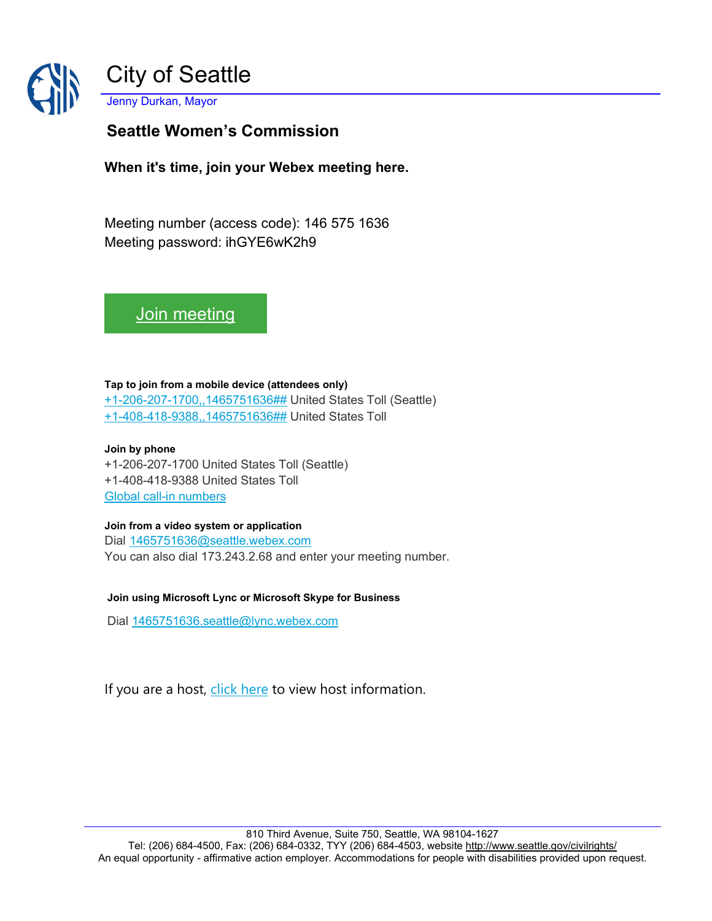

# **Seattle Women's Commission**

**When it's time, join your Webex meeting here.** 

Meeting number (access code): 146 575 1636 Meeting password: ihGYE6wK2h9

[Join meeting](https://seattle.webex.com/seattle/j.php?MTID=m38aa41b5e59b3083070ed9fa6181a0f5)

#### **Tap to join from a mobile device (attendees only)**

[+1-206-207-1700,,1465751636##](tel:%2B1-206-207-1700,,*01*1465751636%23%23*01*) United States Toll (Seattle) [+1-408-418-9388,,1465751636##](tel:%2B1-408-418-9388,,*01*1465751636%23%23*01*) United States Toll

### **Join by phone**

+1-206-207-1700 United States Toll (Seattle) +1-408-418-9388 United States Toll [Global call-in numbers](https://seattle.webex.com/seattle/globalcallin.php?MTID=m3f4b4ee3a92470e91c81c7de3152ca64)

### **Join from a video system or application**

Dial [1465751636@seattle.webex.com](sip:1465751636@seattle.webex.com) You can also dial 173.243.2.68 and enter your meeting number.

### **Join using Microsoft Lync or Microsoft Skype for Business**

Dial [1465751636.seattle@lync.webex.com](sip:1465751636.seattle@lync.webex.com)

If you are a host, [click here](https://seattle.webex.com/seattle/j.php?MTID=m5f639944a70c924eeebe876162150046) to view host information.